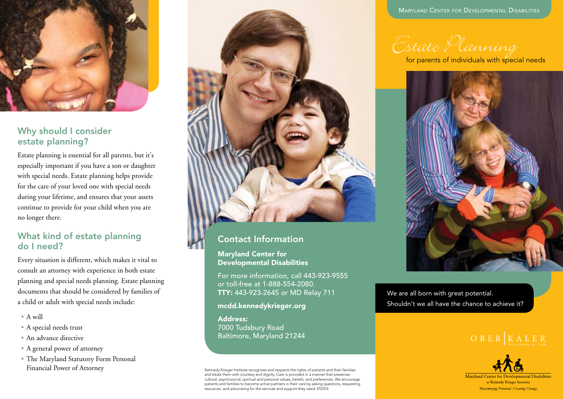

### Why should I consider estate planning?

Estate planning is essential for all parents, but it's especially important if you have a son or daughter with special needs. Estate planning helps provide for the care of your loved one with special needs during your lifetime, and ensures that your assets continue to provide for your child when you are no longer there.

# What kind of estate planning do I need?

Every situation is different, which makes it vital to consult an attorney with experience in both estate planning and special needs planning. Estate planning documents that should be considered by families of a child or adult with special needs include:

- A will
- A special needs trust
- An advance directive
- A general power of attorney
- The Maryland Statutory Form Personal Financial Power of Attorney



# Contact Information

Maryland Center for Developmental Disabilities

For more information, call 443-923-9555 or toll-free at 1-888-554-2080. TTY: 443-923-2645 or MD Relay 711

<mcdd.kennedykrieger.org>

Address: 7000 Tudsbury Road Baltimore, Maryland 21244

Kennedy Krieger Institute recognizes and respects the rights of patients and their families and treats them with courtesy and dignity. Care is provided in a manner that preserves cultural, psychosocial, spiritual and personal values, beliefs, and preferences. We encourage patients and families to become active partners in their care by asking questions, requesting resources, and advocating for the services and support they need. 012013

Maryland Center for Developmental Disabilities

for parents of individuals with special needs



We are all born with great potential. Shouldn't we all have the chance to achieve it?